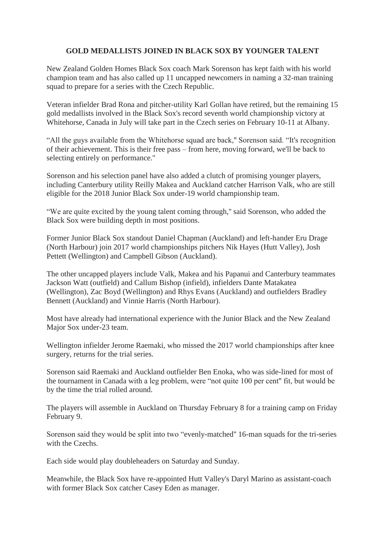## **GOLD MEDALLISTS JOINED IN BLACK SOX BY YOUNGER TALENT**

New Zealand Golden Homes Black Sox coach Mark Sorenson has kept faith with his world champion team and has also called up 11 uncapped newcomers in naming a 32-man training squad to prepare for a series with the Czech Republic.

Veteran infielder Brad Rona and pitcher-utility Karl Gollan have retired, but the remaining 15 gold medallists involved in the Black Sox's record seventh world championship victory at Whitehorse, Canada in July will take part in the Czech series on February 10-11 at Albany.

"All the guys available from the Whitehorse squad are back,'' Sorenson said. "It's recognition of their achievement. This is their free pass – from here, moving forward, we'll be back to selecting entirely on performance.''

Sorenson and his selection panel have also added a clutch of promising younger players, including Canterbury utility Reilly Makea and Auckland catcher Harrison Valk, who are still eligible for the 2018 Junior Black Sox under-19 world championship team.

"We are quite excited by the young talent coming through,'' said Sorenson, who added the Black Sox were building depth in most positions.

Former Junior Black Sox standout Daniel Chapman (Auckland) and left-hander Eru Drage (North Harbour) join 2017 world championships pitchers Nik Hayes (Hutt Valley), Josh Pettett (Wellington) and Campbell Gibson (Auckland).

The other uncapped players include Valk, Makea and his Papanui and Canterbury teammates Jackson Watt (outfield) and Callum Bishop (infield), infielders Dante Matakatea (Wellington), Zac Boyd (Wellington) and Rhys Evans (Auckland) and outfielders Bradley Bennett (Auckland) and Vinnie Harris (North Harbour).

Most have already had international experience with the Junior Black and the New Zealand Major Sox under-23 team.

Wellington infielder Jerome Raemaki, who missed the 2017 world championships after knee surgery, returns for the trial series.

Sorenson said Raemaki and Auckland outfielder Ben Enoka, who was side-lined for most of the tournament in Canada with a leg problem, were "not quite 100 per cent'' fit, but would be by the time the trial rolled around.

The players will assemble in Auckland on Thursday February 8 for a training camp on Friday February 9.

Sorenson said they would be split into two "evenly-matched'' 16-man squads for the tri-series with the Czechs.

Each side would play doubleheaders on Saturday and Sunday.

Meanwhile, the Black Sox have re-appointed Hutt Valley's Daryl Marino as assistant-coach with former Black Sox catcher Casey Eden as manager.